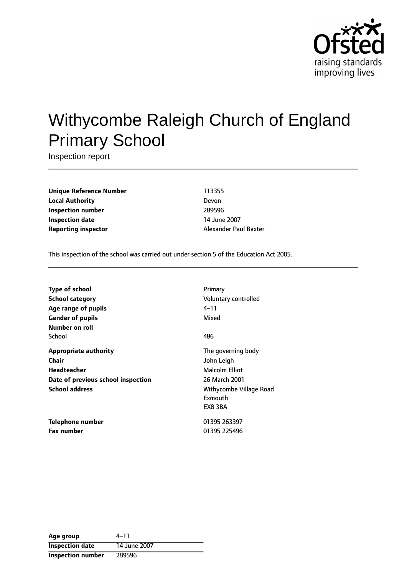

# Withycombe Raleigh Church of England Primary School

Inspection report

**Unique Reference Number** 113355 **Local Authority** Devon **Inspection number** 289596 **Inspection date** 14 June 2007 **Reporting inspector Alexander Paul Baxter** 

This inspection of the school was carried out under section 5 of the Education Act 2005.

| Type of school                     | Primary                 |
|------------------------------------|-------------------------|
| <b>School category</b>             | Voluntary controlled    |
| Age range of pupils                | 4–11                    |
| <b>Gender of pupils</b>            | Mixed                   |
| Number on roll                     |                         |
| School                             | 486                     |
| <b>Appropriate authority</b>       | The governing body      |
| Chair                              | John Leigh              |
| <b>Headteacher</b>                 | Malcolm Elliot          |
| Date of previous school inspection | 26 March 2001           |
| <b>School address</b>              | Withycombe Village Road |
|                                    | Exmouth                 |
|                                    | EX8 3BA                 |
| Telephone number                   | 01395 263397            |
| <b>Fax number</b>                  | 01395 225496            |

| Age group                | 4–11         |
|--------------------------|--------------|
| <b>Inspection date</b>   | 14 June 2007 |
| <b>Inspection number</b> | 289596       |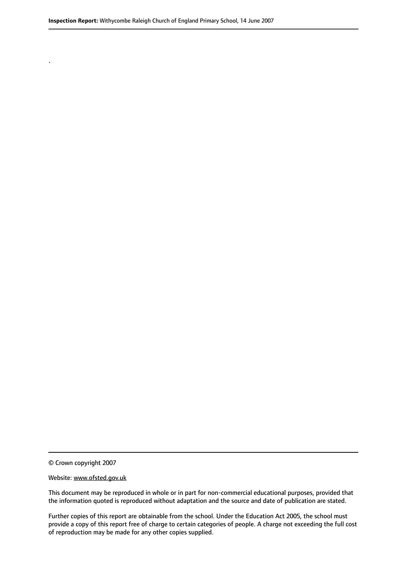© Crown copyright 2007

.

#### Website: www.ofsted.gov.uk

This document may be reproduced in whole or in part for non-commercial educational purposes, provided that the information quoted is reproduced without adaptation and the source and date of publication are stated.

Further copies of this report are obtainable from the school. Under the Education Act 2005, the school must provide a copy of this report free of charge to certain categories of people. A charge not exceeding the full cost of reproduction may be made for any other copies supplied.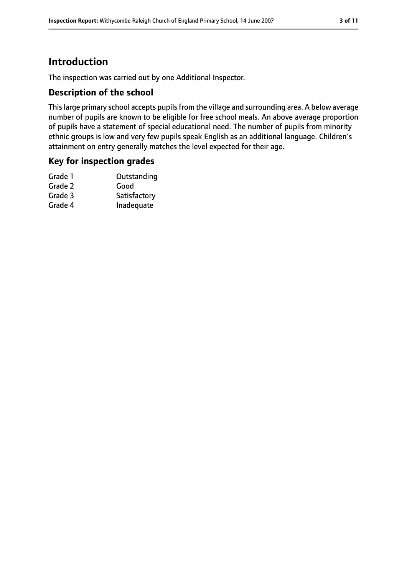# **Introduction**

The inspection was carried out by one Additional Inspector.

## **Description of the school**

This large primary school accepts pupils from the village and surrounding area. A below average number of pupils are known to be eligible for free school meals. An above average proportion of pupils have a statement of special educational need. The number of pupils from minority ethnic groups is low and very few pupils speak English as an additional language. Children's attainment on entry generally matches the level expected for their age.

## **Key for inspection grades**

| Grade 1 | Outstanding  |
|---------|--------------|
| Grade 2 | Good         |
| Grade 3 | Satisfactory |
| Grade 4 | Inadequate   |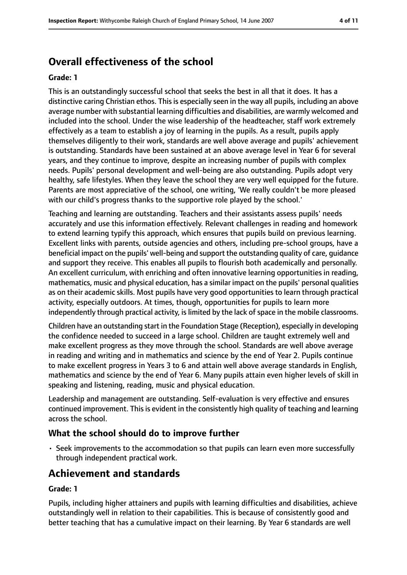# **Overall effectiveness of the school**

#### **Grade: 1**

This is an outstandingly successful school that seeks the best in all that it does. It has a distinctive caring Christian ethos. This is especially seen in the way all pupils, including an above average number with substantial learning difficulties and disabilities, are warmly welcomed and included into the school. Under the wise leadership of the headteacher, staff work extremely effectively as a team to establish a joy of learning in the pupils. As a result, pupils apply themselves diligently to their work, standards are well above average and pupils' achievement is outstanding. Standards have been sustained at an above average level in Year 6 for several years, and they continue to improve, despite an increasing number of pupils with complex needs. Pupils' personal development and well-being are also outstanding. Pupils adopt very healthy, safe lifestyles. When they leave the school they are very well equipped for the future. Parents are most appreciative of the school, one writing, 'We really couldn't be more pleased with our child's progress thanks to the supportive role played by the school.'

Teaching and learning are outstanding. Teachers and their assistants assess pupils' needs accurately and use this information effectively. Relevant challenges in reading and homework to extend learning typify this approach, which ensures that pupils build on previous learning. Excellent links with parents, outside agencies and others, including pre-school groups, have a beneficial impact on the pupils' well-being and support the outstanding quality of care, guidance and support they receive. This enables all pupils to flourish both academically and personally. An excellent curriculum, with enriching and often innovative learning opportunities in reading, mathematics, music and physical education, has a similar impact on the pupils' personal qualities as on their academic skills. Most pupils have very good opportunities to learn through practical activity, especially outdoors. At times, though, opportunities for pupils to learn more independently through practical activity, is limited by the lack of space in the mobile classrooms.

Children have an outstanding start in the Foundation Stage (Reception), especially in developing the confidence needed to succeed in a large school. Children are taught extremely well and make excellent progress as they move through the school. Standards are well above average in reading and writing and in mathematics and science by the end of Year 2. Pupils continue to make excellent progress in Years 3 to 6 and attain well above average standards in English, mathematics and science by the end of Year 6. Many pupils attain even higher levels of skill in speaking and listening, reading, music and physical education.

Leadership and management are outstanding. Self-evaluation is very effective and ensures continued improvement. This is evident in the consistently high quality of teaching and learning across the school.

## **What the school should do to improve further**

• Seek improvements to the accommodation so that pupils can learn even more successfully through independent practical work.

# **Achievement and standards**

#### **Grade: 1**

Pupils, including higher attainers and pupils with learning difficulties and disabilities, achieve outstandingly well in relation to their capabilities. This is because of consistently good and better teaching that has a cumulative impact on their learning. By Year 6 standards are well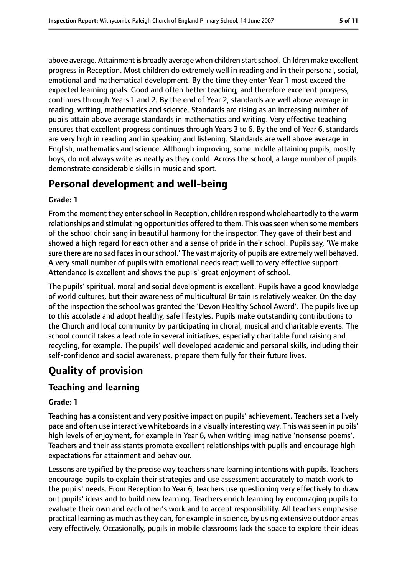above average. Attainment is broadly average when children start school. Children make excellent progress in Reception. Most children do extremely well in reading and in their personal, social, emotional and mathematical development. By the time they enter Year 1 most exceed the expected learning goals. Good and often better teaching, and therefore excellent progress, continues through Years 1 and 2. By the end of Year 2, standards are well above average in reading, writing, mathematics and science. Standards are rising as an increasing number of pupils attain above average standards in mathematics and writing. Very effective teaching ensures that excellent progress continues through Years 3 to 6. By the end of Year 6, standards are very high in reading and in speaking and listening. Standards are well above average in English, mathematics and science. Although improving, some middle attaining pupils, mostly boys, do not always write as neatly as they could. Across the school, a large number of pupils demonstrate considerable skills in music and sport.

# **Personal development and well-being**

#### **Grade: 1**

From the moment they enter school in Reception, children respond wholeheartedly to the warm relationships and stimulating opportunities offered to them. This was seen when some members of the school choir sang in beautiful harmony for the inspector. They gave of their best and showed a high regard for each other and a sense of pride in their school. Pupils say, 'We make sure there are no sad faces in our school.' The vast majority of pupils are extremely well behaved. A very small number of pupils with emotional needs react well to very effective support. Attendance is excellent and shows the pupils' great enjoyment of school.

The pupils' spiritual, moral and social development is excellent. Pupils have a good knowledge of world cultures, but their awareness of multicultural Britain is relatively weaker. On the day of the inspection the school was granted the 'Devon Healthy School Award'. The pupils live up to this accolade and adopt healthy, safe lifestyles. Pupils make outstanding contributions to the Church and local community by participating in choral, musical and charitable events. The school council takes a lead role in several initiatives, especially charitable fund raising and recycling, for example. The pupils' well developed academic and personal skills, including their self-confidence and social awareness, prepare them fully for their future lives.

# **Quality of provision**

## **Teaching and learning**

#### **Grade: 1**

Teaching has a consistent and very positive impact on pupils' achievement. Teachers set a lively pace and often use interactive whiteboards in a visually interesting way. This was seen in pupils' high levels of enjoyment, for example in Year 6, when writing imaginative 'nonsense poems'. Teachers and their assistants promote excellent relationships with pupils and encourage high expectations for attainment and behaviour.

Lessons are typified by the precise way teachers share learning intentions with pupils. Teachers encourage pupils to explain their strategies and use assessment accurately to match work to the pupils' needs. From Reception to Year 6, teachers use questioning very effectively to draw out pupils' ideas and to build new learning. Teachers enrich learning by encouraging pupils to evaluate their own and each other's work and to accept responsibility. All teachers emphasise practical learning as much as they can, for example in science, by using extensive outdoor areas very effectively. Occasionally, pupils in mobile classrooms lack the space to explore their ideas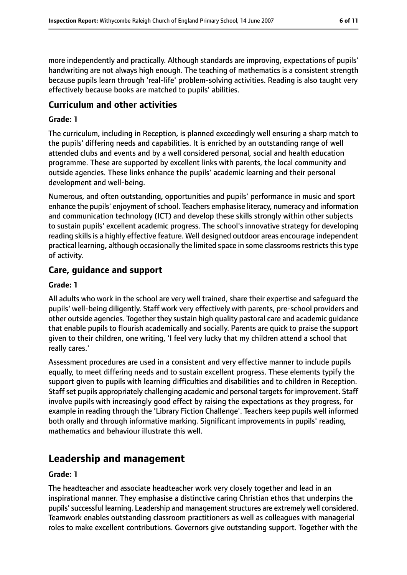more independently and practically. Although standards are improving, expectations of pupils' handwriting are not always high enough. The teaching of mathematics is a consistent strength because pupils learn through 'real-life' problem-solving activities. Reading is also taught very effectively because books are matched to pupils' abilities.

#### **Curriculum and other activities**

#### **Grade: 1**

The curriculum, including in Reception, is planned exceedingly well ensuring a sharp match to the pupils' differing needs and capabilities. It is enriched by an outstanding range of well attended clubs and events and by a well considered personal, social and health education programme. These are supported by excellent links with parents, the local community and outside agencies. These links enhance the pupils' academic learning and their personal development and well-being.

Numerous, and often outstanding, opportunities and pupils' performance in music and sport enhance the pupils' enjoyment of school. Teachers emphasise literacy, numeracy and information and communication technology (ICT) and develop these skills strongly within other subjects to sustain pupils' excellent academic progress. The school's innovative strategy for developing reading skills is a highly effective feature. Well designed outdoor areas encourage independent practical learning, although occasionally the limited space in some classrooms restricts this type of activity.

## **Care, guidance and support**

#### **Grade: 1**

All adults who work in the school are very well trained, share their expertise and safeguard the pupils' well-being diligently. Staff work very effectively with parents, pre-school providers and other outside agencies. Together they sustain high quality pastoral care and academic guidance that enable pupils to flourish academically and socially. Parents are quick to praise the support given to their children, one writing, 'I feel very lucky that my children attend a school that really cares.'

Assessment procedures are used in a consistent and very effective manner to include pupils equally, to meet differing needs and to sustain excellent progress. These elements typify the support given to pupils with learning difficulties and disabilities and to children in Reception. Staff set pupils appropriately challenging academic and personal targets for improvement. Staff involve pupils with increasingly good effect by raising the expectations as they progress, for example in reading through the 'Library Fiction Challenge'. Teachers keep pupils well informed both orally and through informative marking. Significant improvements in pupils' reading, mathematics and behaviour illustrate this well.

# **Leadership and management**

#### **Grade: 1**

The headteacher and associate headteacher work very closely together and lead in an inspirational manner. They emphasise a distinctive caring Christian ethos that underpins the pupils'successful learning. Leadership and managementstructures are extremely well considered. Teamwork enables outstanding classroom practitioners as well as colleagues with managerial roles to make excellent contributions. Governors give outstanding support. Together with the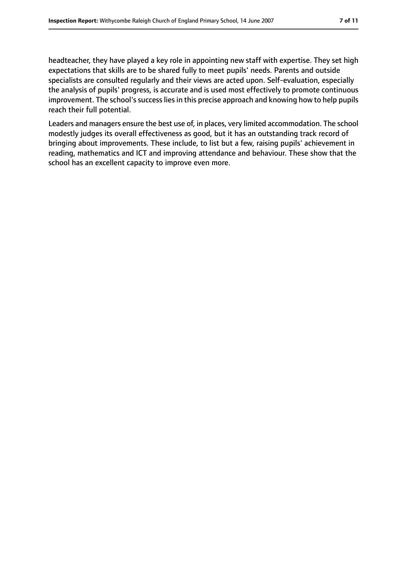headteacher, they have played a key role in appointing new staff with expertise. They set high expectations that skills are to be shared fully to meet pupils' needs. Parents and outside specialists are consulted regularly and their views are acted upon. Self-evaluation, especially the analysis of pupils' progress, is accurate and is used most effectively to promote continuous improvement. The school's success lies in this precise approach and knowing how to help pupils reach their full potential.

Leaders and managers ensure the best use of, in places, very limited accommodation. The school modestly judges its overall effectiveness as good, but it has an outstanding track record of bringing about improvements. These include, to list but a few, raising pupils' achievement in reading, mathematics and ICT and improving attendance and behaviour. These show that the school has an excellent capacity to improve even more.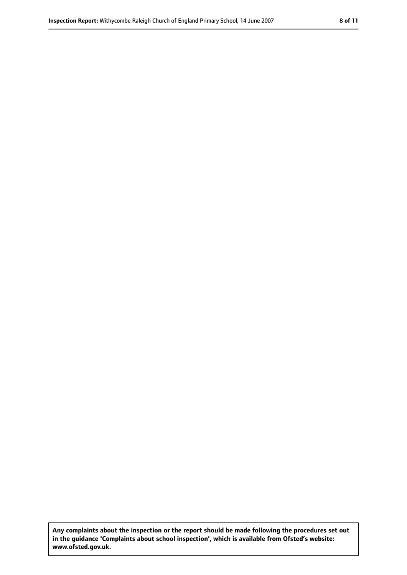**Any complaints about the inspection or the report should be made following the procedures set out in the guidance 'Complaints about school inspection', which is available from Ofsted's website: www.ofsted.gov.uk.**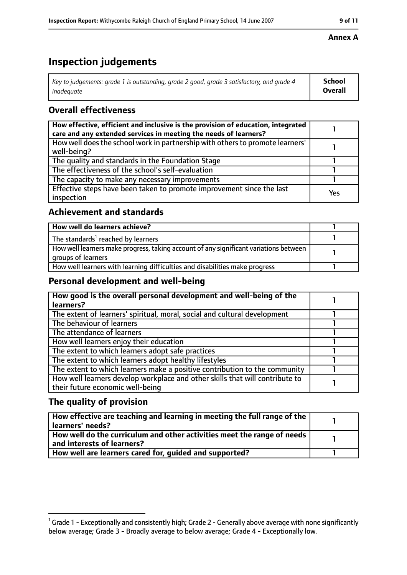# **Inspection judgements**

| $^{\text{!}}$ Key to judgements: grade 1 is outstanding, grade 2 good, grade 3 satisfactory, and grade 4 | School         |
|----------------------------------------------------------------------------------------------------------|----------------|
| inadeguate                                                                                               | <b>Overall</b> |

# **Overall effectiveness**

| How effective, efficient and inclusive is the provision of education, integrated<br>care and any extended services in meeting the needs of learners? |     |
|------------------------------------------------------------------------------------------------------------------------------------------------------|-----|
| How well does the school work in partnership with others to promote learners'<br>well-being?                                                         |     |
| The quality and standards in the Foundation Stage                                                                                                    |     |
| The effectiveness of the school's self-evaluation                                                                                                    |     |
| The capacity to make any necessary improvements                                                                                                      |     |
| Effective steps have been taken to promote improvement since the last<br>inspection                                                                  | Yes |

## **Achievement and standards**

| How well do learners achieve?                                                                               |  |
|-------------------------------------------------------------------------------------------------------------|--|
| The standards <sup>1</sup> reached by learners                                                              |  |
| How well learners make progress, taking account of any significant variations between<br>groups of learners |  |
| How well learners with learning difficulties and disabilities make progress                                 |  |

## **Personal development and well-being**

| How good is the overall personal development and well-being of the<br>learners?                                  |  |
|------------------------------------------------------------------------------------------------------------------|--|
| The extent of learners' spiritual, moral, social and cultural development                                        |  |
| The behaviour of learners                                                                                        |  |
| The attendance of learners                                                                                       |  |
| How well learners enjoy their education                                                                          |  |
| The extent to which learners adopt safe practices                                                                |  |
| The extent to which learners adopt healthy lifestyles                                                            |  |
| The extent to which learners make a positive contribution to the community                                       |  |
| How well learners develop workplace and other skills that will contribute to<br>their future economic well-being |  |

## **The quality of provision**

| $\mid$ How effective are teaching and learning in meeting the full range of the $\mid$<br>  learners' needs?               |  |
|----------------------------------------------------------------------------------------------------------------------------|--|
| $\mid$ How well do the curriculum and other activities meet the range of needs $\mid$<br>$\mid$ and interests of learners? |  |
| How well are learners cared for, quided and supported?                                                                     |  |

## **Annex A**

 $^1$  Grade 1 - Exceptionally and consistently high; Grade 2 - Generally above average with none significantly below average; Grade 3 - Broadly average to below average; Grade 4 - Exceptionally low.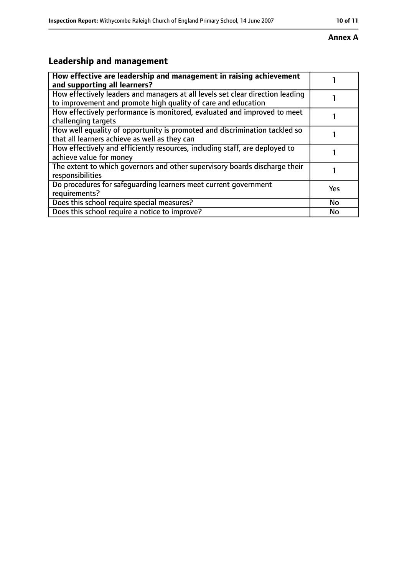#### **Annex A**

# **Leadership and management**

| How effective are leadership and management in raising achievement<br>and supporting all learners?                                              |           |
|-------------------------------------------------------------------------------------------------------------------------------------------------|-----------|
| How effectively leaders and managers at all levels set clear direction leading<br>to improvement and promote high quality of care and education |           |
| How effectively performance is monitored, evaluated and improved to meet<br>challenging targets                                                 |           |
| How well equality of opportunity is promoted and discrimination tackled so<br>that all learners achieve as well as they can                     |           |
| How effectively and efficiently resources, including staff, are deployed to<br>achieve value for money                                          |           |
| The extent to which governors and other supervisory boards discharge their<br>responsibilities                                                  |           |
| Do procedures for safequarding learners meet current government<br>requirements?                                                                | Yes       |
| Does this school require special measures?                                                                                                      | <b>No</b> |
| Does this school require a notice to improve?                                                                                                   | No        |